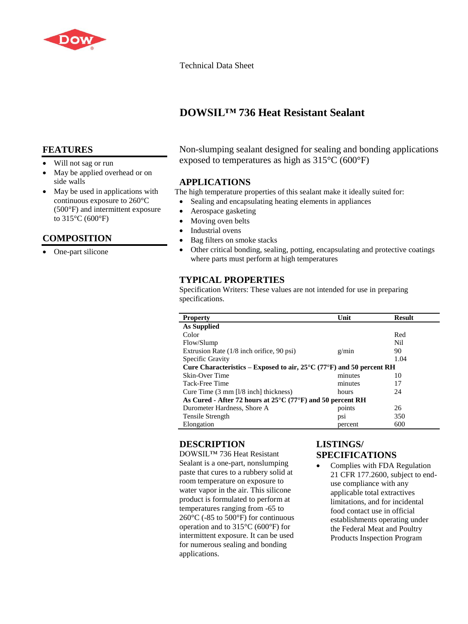

Technical Data Sheet

# **DOWSIL™ 736 Heat Resistant Sealant**

## **FEATURES**

- Will not sag or run
- May be applied overhead or on side walls
- May be used in applications with continuous exposure to 260°C (500°F) and intermittent exposure to 315°C (600°F)

# **COMPOSITION**

One-part silicone

### Non-slumping sealant designed for sealing and bonding applications exposed to temperatures as high as 315°C (600°F)

### **APPLICATIONS**

The high temperature properties of this sealant make it ideally suited for:

- Sealing and encapsulating heating elements in appliances
- Aerospace gasketing
- Moving oven belts
- Industrial ovens
- Bag filters on smoke stacks
- Other critical bonding, sealing, potting, encapsulating and protective coatings where parts must perform at high temperatures

# **TYPICAL PROPERTIES**

Specification Writers: These values are not intended for use in preparing specifications.

| As Supplied<br>Color<br>Red<br>Nil<br>Flow/Slump<br>Extrusion Rate (1/8 inch orifice, 90 psi)<br>90<br>g/min<br>Specific Gravity<br>1.04<br>Cure Characteristics – Exposed to air, $25^{\circ}$ C (77 $^{\circ}$ F) and 50 percent RH<br>Skin-Over Time<br>minutes<br>10<br>minutes<br>Tack-Free Time<br>17<br>24<br>Cure Time $(3 \text{ mm } \lceil l/8 \text{ inch} \rceil)$ thickness)<br>hours<br>As Cured - After 72 hours at $25^{\circ}$ C (77 $^{\circ}$ F) and 50 percent RH | <b>Property</b>             | Unit   | <b>Result</b> |  |
|----------------------------------------------------------------------------------------------------------------------------------------------------------------------------------------------------------------------------------------------------------------------------------------------------------------------------------------------------------------------------------------------------------------------------------------------------------------------------------------|-----------------------------|--------|---------------|--|
|                                                                                                                                                                                                                                                                                                                                                                                                                                                                                        |                             |        |               |  |
|                                                                                                                                                                                                                                                                                                                                                                                                                                                                                        |                             |        |               |  |
|                                                                                                                                                                                                                                                                                                                                                                                                                                                                                        |                             |        |               |  |
|                                                                                                                                                                                                                                                                                                                                                                                                                                                                                        |                             |        |               |  |
|                                                                                                                                                                                                                                                                                                                                                                                                                                                                                        |                             |        |               |  |
|                                                                                                                                                                                                                                                                                                                                                                                                                                                                                        |                             |        |               |  |
|                                                                                                                                                                                                                                                                                                                                                                                                                                                                                        |                             |        |               |  |
|                                                                                                                                                                                                                                                                                                                                                                                                                                                                                        |                             |        |               |  |
|                                                                                                                                                                                                                                                                                                                                                                                                                                                                                        |                             |        |               |  |
|                                                                                                                                                                                                                                                                                                                                                                                                                                                                                        |                             |        |               |  |
|                                                                                                                                                                                                                                                                                                                                                                                                                                                                                        | Durometer Hardness, Shore A | points | 26            |  |
| 350<br>Tensile Strength<br>DS1                                                                                                                                                                                                                                                                                                                                                                                                                                                         |                             |        |               |  |
| Elongation<br>600<br>percent                                                                                                                                                                                                                                                                                                                                                                                                                                                           |                             |        |               |  |

# **DESCRIPTION**

DOWSIL™ 736 Heat Resistant Sealant is a one-part, nonslumping paste that cures to a rubbery solid at room temperature on exposure to water vapor in the air. This silicone product is formulated to perform at temperatures ranging from -65 to 260°C (-85 to 500°F) for continuous operation and to 315°C (600°F) for intermittent exposure. It can be used for numerous sealing and bonding applications.

# **LISTINGS/ SPECIFICATIONS**

• Complies with FDA Regulation 21 CFR 177.2600, subject to enduse compliance with any applicable total extractives limitations, and for incidental food contact use in official establishments operating under the Federal Meat and Poultry Products Inspection Program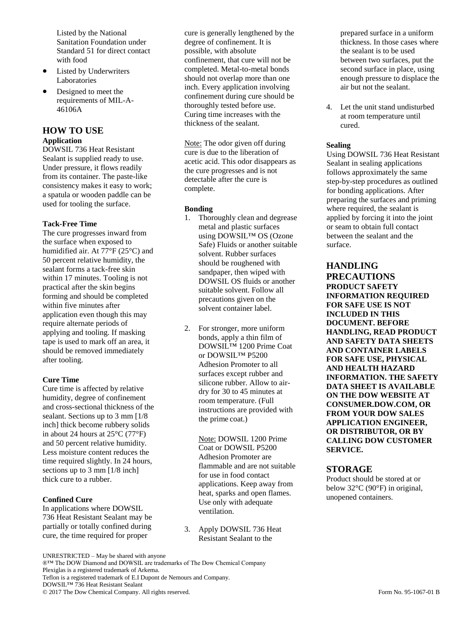Listed by the National Sanitation Foundation under Standard 51 for direct contact with food

- Listed by Underwriters Laboratories
- Designed to meet the requirements of MIL-A-46106A

### **HOW TO USE Application**

DOWSIL 736 Heat Resistant Sealant is supplied ready to use. Under pressure, it flows readily from its container. The paste-like consistency makes it easy to work; a spatula or wooden paddle can be used for tooling the surface.

### **Tack-Free Time**

The cure progresses inward from the surface when exposed to humidified air. At 77°F (25°C) and 50 percent relative humidity, the sealant forms a tack-free skin within 17 minutes. Tooling is not practical after the skin begins forming and should be completed within five minutes after application even though this may require alternate periods of applying and tooling. If masking tape is used to mark off an area, it should be removed immediately after tooling.

#### **Cure Time**

Cure time is affected by relative humidity, degree of confinement and cross-sectional thickness of the sealant. Sections up to 3 mm [1/8 inch] thick become rubbery solids in about 24 hours at 25°C (77°F) and 50 percent relative humidity. Less moisture content reduces the time required slightly. In 24 hours, sections up to 3 mm [1/8 inch] thick cure to a rubber.

#### **Confined Cure**

In applications where DOWSIL 736 Heat Resistant Sealant may be partially or totally confined during cure, the time required for proper

cure is generally lengthened by the degree of confinement. It is possible, with absolute confinement, that cure will not be completed. Metal-to-metal bonds should not overlap more than one inch. Every application involving confinement during cure should be thoroughly tested before use. Curing time increases with the thickness of the sealant.

Note: The odor given off during cure is due to the liberation of acetic acid. This odor disappears as the cure progresses and is not detectable after the cure is complete.

### **Bonding**

- 1. Thoroughly clean and degrease metal and plastic surfaces using DOWSIL™ OS (Ozone Safe) Fluids or another suitable solvent. Rubber surfaces should be roughened with sandpaper, then wiped with DOWSIL OS fluids or another suitable solvent. Follow all precautions given on the solvent container label.
- 2. For stronger, more uniform bonds, apply a thin film of DOWSIL™ 1200 Prime Coat or DOWSIL™ P5200 Adhesion Promoter to all surfaces except rubber and silicone rubber. Allow to airdry for 30 to 45 minutes at room temperature. (Full instructions are provided with the prime coat.)

Note: DOWSIL 1200 Prime Coat or DOWSIL P5200 Adhesion Promoter are flammable and are not suitable for use in food contact applications. Keep away from heat, sparks and open flames. Use only with adequate ventilation.

3. Apply DOWSIL 736 Heat Resistant Sealant to the

prepared surface in a uniform thickness. In those cases where the sealant is to be used between two surfaces, put the second surface in place, using enough pressure to displace the air but not the sealant.

4. Let the unit stand undisturbed at room temperature until cured.

### **Sealing**

Using DOWSIL 736 Heat Resistant Sealant in sealing applications follows approximately the same step-by-step procedures as outlined for bonding applications. After preparing the surfaces and priming where required, the sealant is applied by forcing it into the joint or seam to obtain full contact between the sealant and the surface.

**HANDLING PRECAUTIONS PRODUCT SAFETY INFORMATION REQUIRED FOR SAFE USE IS NOT INCLUDED IN THIS DOCUMENT. BEFORE HANDLING, READ PRODUCT AND SAFETY DATA SHEETS AND CONTAINER LABELS FOR SAFE USE, PHYSICAL AND HEALTH HAZARD INFORMATION. THE SAFETY DATA SHEET IS AVAILABLE ON THE DOW WEBSITE AT CONSUMER.DOW.COM, OR FROM YOUR DOW SALES APPLICATION ENGINEER, OR DISTRIBUTOR, OR BY CALLING DOW CUSTOMER SERVICE.**

### **STORAGE**

Product should be stored at or below 32°C (90°F) in original, unopened containers.

UNRESTRICTED – May be shared with anyone

®™ The DOW Diamond and DOWSIL are trademarks of The Dow Chemical Company Plexiglas is a registered trademark of Arkema. Teflon is a registered trademark of E.I Dupont de Nemours and Company. DOWSIL™ 736 Heat Resistant Sealant © 2017 The Dow Chemical Company. All rights reserved. Form No. 95-1067-01 B